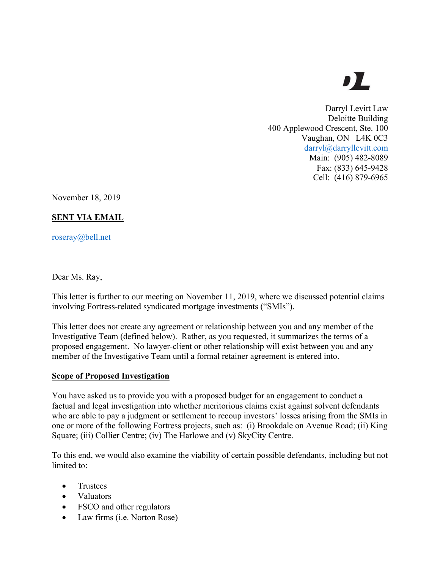# DL

Darryl Levitt Law Deloitte Building 400 Applewood Crescent, Ste. 100 Vaughan, ON L4K 0C3 darryl@darryllevitt.com Main: (905) 482-8089 Fax: (833) 645-9428 Cell: (416) 879-6965

November 18, 2019

## **SENT VIA EMAIL**

roseray@bell.net

Dear Ms. Ray,

This letter is further to our meeting on November 11, 2019, where we discussed potential claims involving Fortress-related syndicated mortgage investments ("SMIs").

This letter does not create any agreement or relationship between you and any member of the Investigative Team (defined below). Rather, as you requested, it summarizes the terms of a proposed engagement. No lawyer-client or other relationship will exist between you and any member of the Investigative Team until a formal retainer agreement is entered into.

#### **Scope of Proposed Investigation**

You have asked us to provide you with a proposed budget for an engagement to conduct a factual and legal investigation into whether meritorious claims exist against solvent defendants who are able to pay a judgment or settlement to recoup investors' losses arising from the SMIs in one or more of the following Fortress projects, such as: (i) Brookdale on Avenue Road; (ii) King Square; (iii) Collier Centre; (iv) The Harlowe and (v) SkyCity Centre.

To this end, we would also examine the viability of certain possible defendants, including but not limited to:

- Trustees
- Valuators
- FSCO and other regulators
- Law firms (i.e. Norton Rose)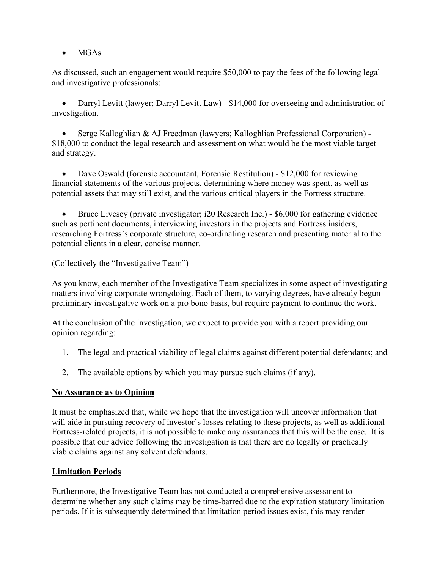• MGAs

As discussed, such an engagement would require \$50,000 to pay the fees of the following legal and investigative professionals:

• Darryl Levitt (lawyer; Darryl Levitt Law) - \$14,000 for overseeing and administration of investigation.

• Serge Kalloghlian & AJ Freedman (lawyers; Kalloghlian Professional Corporation) - \$18,000 to conduct the legal research and assessment on what would be the most viable target and strategy.

• Dave Oswald (forensic accountant, Forensic Restitution) - \$12,000 for reviewing financial statements of the various projects, determining where money was spent, as well as potential assets that may still exist, and the various critical players in the Fortress structure.

• Bruce Livesey (private investigator; i20 Research Inc.) - \$6,000 for gathering evidence such as pertinent documents, interviewing investors in the projects and Fortress insiders, researching Fortress's corporate structure, co-ordinating research and presenting material to the potential clients in a clear, concise manner.

(Collectively the "Investigative Team")

As you know, each member of the Investigative Team specializes in some aspect of investigating matters involving corporate wrongdoing. Each of them, to varying degrees, have already begun preliminary investigative work on a pro bono basis, but require payment to continue the work.

At the conclusion of the investigation, we expect to provide you with a report providing our opinion regarding:

- 1. The legal and practical viability of legal claims against different potential defendants; and
- 2. The available options by which you may pursue such claims (if any).

#### **No Assurance as to Opinion**

It must be emphasized that, while we hope that the investigation will uncover information that will aide in pursuing recovery of investor's losses relating to these projects, as well as additional Fortress-related projects, it is not possible to make any assurances that this will be the case. It is possible that our advice following the investigation is that there are no legally or practically viable claims against any solvent defendants.

#### **Limitation Periods**

Furthermore, the Investigative Team has not conducted a comprehensive assessment to determine whether any such claims may be time-barred due to the expiration statutory limitation periods. If it is subsequently determined that limitation period issues exist, this may render